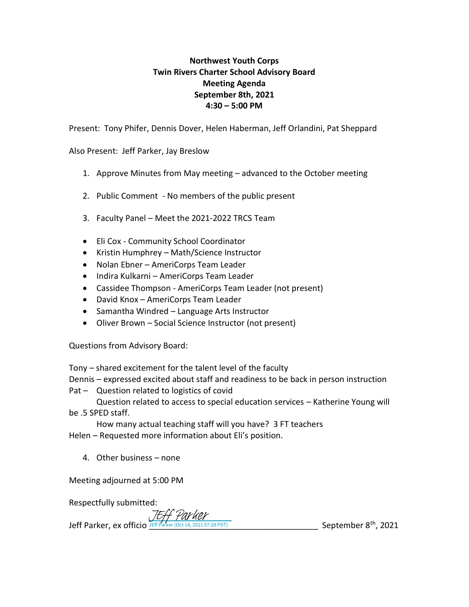## **Northwest Youth Corps Twin Rivers Charter School Advisory Board Meeting Agenda September 8th, 2021 4:30 – 5:00 PM**

Present: Tony Phifer, Dennis Dover, Helen Haberman, Jeff Orlandini, Pat Sheppard

Also Present: Jeff Parker, Jay Breslow

- 1. Approve Minutes from May meeting advanced to the October meeting
- 2. Public Comment No members of the public present
- 3. Faculty Panel Meet the 2021-2022 TRCS Team
- Eli Cox Community School Coordinator
- Kristin Humphrey Math/Science Instructor
- Nolan Ebner AmeriCorps Team Leader
- Indira Kulkarni AmeriCorps Team Leader
- Cassidee Thompson AmeriCorps Team Leader (not present)
- David Knox AmeriCorps Team Leader
- Samantha Windred Language Arts Instructor
- Oliver Brown Social Science Instructor (not present)

Questions from Advisory Board:

Tony – shared excitement for the talent level of the faculty

Dennis – expressed excited about staff and readiness to be back in person instruction Pat – Question related to logistics of covid

Question related to access to special education services – Katherine Young will be .5 SPED staff.

How many actual teaching staff will you have? 3 FT teachers

Helen – Requested more information about Eli's position.

4. Other business – none

Meeting adjourned at 5:00 PM

Respectfully submitted:

JEff Parker

Jeff Parker, ex officio JEff Parker (Oct 14, 2021 07:28 PDT) September 8<sup>th</sup>, 2021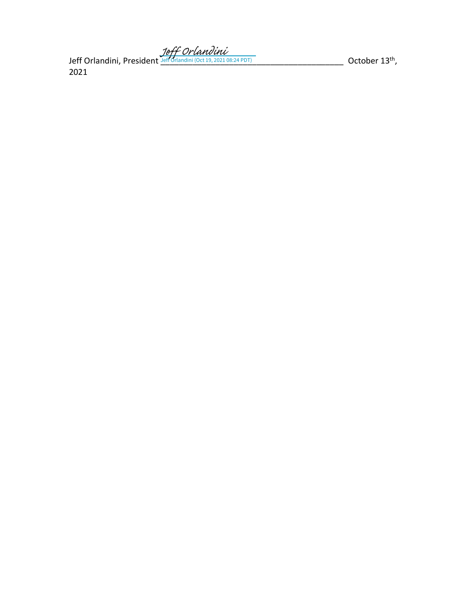Jeff Orlandini, President المسلم العالم السلم العامل المسلم المسلم المسلم المسلم المسلم العامل العامل العامل ا<br>المسلم العامل المسلم العامل المسلم العامل المسلم العامل المسلم العامل المسلم العامل العامل العامل العامل العام 2021

 $\_$  October 13<sup>th</sup>,